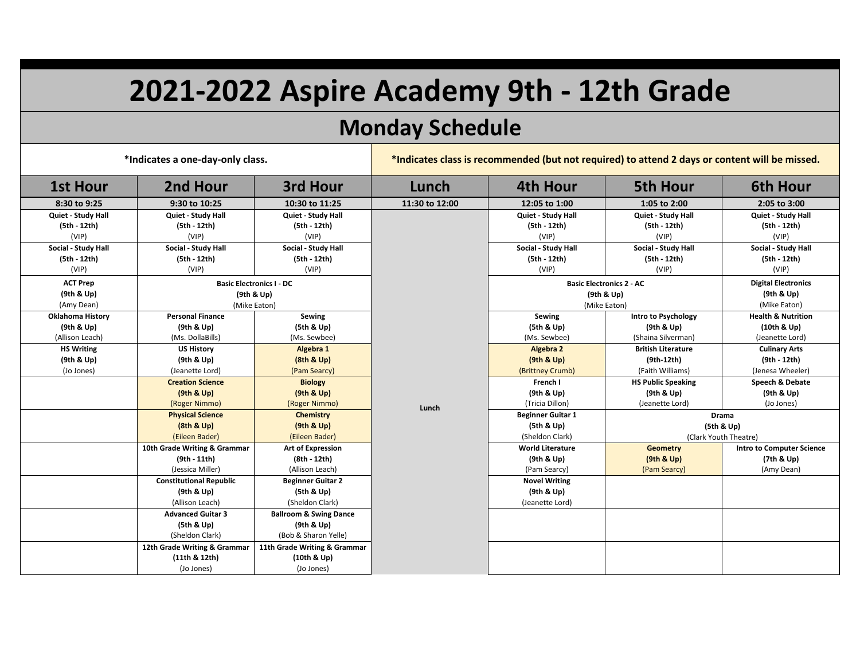## **2021-2022 Aspire Academy 9th - 12th Grade**

## **Monday Schedule**

**\*Indicates a one-day-only class. \*Indicates class is recommended (but not required) to attend 2 days or content will be missed.**

| <b>1st Hour</b>         | 2nd Hour                        | 3rd Hour                          | Lunch                           | 4th Hour                 | <b>5th Hour</b>                                     | <b>6th Hour</b>                  |
|-------------------------|---------------------------------|-----------------------------------|---------------------------------|--------------------------|-----------------------------------------------------|----------------------------------|
| 8:30 to 9:25            | 9:30 to 10:25                   | 10:30 to 11:25                    | 11:30 to 12:00                  | 12:05 to 1:00            | 1:05 to 2:00                                        | 2:05 to 3:00                     |
| Quiet - Study Hall      | Quiet - Study Hall              | Quiet - Study Hall                |                                 | Quiet - Study Hall       | Quiet - Study Hall                                  | Quiet - Study Hall               |
| (5th - 12th)            | (5th - 12th)                    | (5th - 12th)                      |                                 | (5th - 12th)             | (5th - 12th)                                        | (5th - 12th)                     |
| (VIP)                   | (VIP)                           | (VIP)                             |                                 | (VIP)                    | (VIP)                                               | (VIP)                            |
| Social - Study Hall     | Social - Study Hall             | Social - Study Hall               |                                 | Social - Study Hall      | Social - Study Hall                                 | Social - Study Hall              |
| (5th - 12th)            | (5th - 12th)                    | (5th - 12th)                      |                                 | (5th - 12th)             | (5th - 12th)                                        | (5th - 12th)                     |
| (VIP)                   | (VIP)                           | (VIP)                             |                                 | (VIP)                    | (VIP)                                               | (VIP)                            |
| <b>ACT Prep</b>         | <b>Basic Electronics I - DC</b> |                                   | <b>Basic Electronics 2 - AC</b> |                          |                                                     | <b>Digital Electronics</b>       |
| (9th & Up)              | (9th & Up)                      |                                   |                                 | (9th & Up)               |                                                     | (9th & Up)                       |
| (Amy Dean)              | (Mike Eaton)                    |                                   |                                 | (Mike Eaton)             |                                                     | (Mike Eaton)                     |
| <b>Oklahoma History</b> | <b>Personal Finance</b>         | Sewing                            |                                 | Sewing                   | Intro to Psychology                                 | <b>Health &amp; Nutrition</b>    |
| (9th & Up)              | (9th & Up)                      | (5th & Up)                        |                                 | (5th & Up)               | (9th & Up)                                          | (10th & Up)                      |
| (Allison Leach)         | (Ms. DollaBills)                | (Ms. Sewbee)                      |                                 | (Ms. Sewbee)             | (Shaina Silverman)                                  | (Jeanette Lord)                  |
| <b>HS Writing</b>       | <b>US History</b>               | Algebra 1                         |                                 | Algebra 2                | <b>British Literature</b>                           | <b>Culinary Arts</b>             |
| (9th & Up)              | (9th & Up)                      | (8th & Up)                        |                                 | (9th & Up)               | $(9th-12th)$                                        | (9th - 12th)                     |
| (Jo Jones)              | (Jeanette Lord)                 | (Pam Searcy)                      |                                 | (Brittney Crumb)         | (Faith Williams)                                    | (Jenesa Wheeler)                 |
|                         | <b>Creation Science</b>         | <b>Biology</b>                    |                                 | French I                 | <b>HS Public Speaking</b>                           | Speech & Debate                  |
|                         | (9th & Up)                      | (9th & Up)                        |                                 | (9th & Up)               | (9th & Up)                                          | (9th & Up)                       |
|                         | (Roger Nimmo)                   | (Roger Nimmo)                     | Lunch                           | (Tricia Dillon)          | (Jeanette Lord)                                     | (Jo Jones)                       |
|                         | <b>Physical Science</b>         | <b>Chemistry</b>                  |                                 | <b>Beginner Guitar 1</b> | <b>Drama</b><br>(5th & Up)<br>(Clark Youth Theatre) |                                  |
|                         | (8th & Up)                      | (9th & Up)                        |                                 | (5th & Up)               |                                                     |                                  |
|                         | (Eileen Bader)                  | (Eileen Bader)                    |                                 | (Sheldon Clark)          |                                                     |                                  |
|                         | 10th Grade Writing & Grammar    | <b>Art of Expression</b>          |                                 | <b>World Literature</b>  | <b>Geometry</b>                                     | <b>Intro to Computer Science</b> |
|                         | (9th - 11th)                    | (8th - 12th)                      |                                 | (9th & Up)               | (9th & Up)                                          | (7th & Up)                       |
|                         | (Jessica Miller)                | (Allison Leach)                   |                                 | (Pam Searcy)             | (Pam Searcy)                                        | (Amy Dean)                       |
|                         | <b>Constitutional Republic</b>  | <b>Beginner Guitar 2</b>          |                                 | <b>Novel Writing</b>     |                                                     |                                  |
|                         | (9th & Up)                      | (5th & Up)                        |                                 | (9th & Up)               |                                                     |                                  |
|                         | (Allison Leach)                 | (Sheldon Clark)                   |                                 | (Jeanette Lord)          |                                                     |                                  |
|                         | <b>Advanced Guitar 3</b>        | <b>Ballroom &amp; Swing Dance</b> |                                 |                          |                                                     |                                  |
|                         | (5th & Up)                      | (9th & Up)                        |                                 |                          |                                                     |                                  |
|                         | (Sheldon Clark)                 | (Bob & Sharon Yelle)              |                                 |                          |                                                     |                                  |
|                         | 12th Grade Writing & Grammar    | 11th Grade Writing & Grammar      |                                 |                          |                                                     |                                  |
|                         | (11th & 12th)                   | (10th & Up)                       |                                 |                          |                                                     |                                  |
|                         | (Jo Jones)                      | (Jo Jones)                        |                                 |                          |                                                     |                                  |